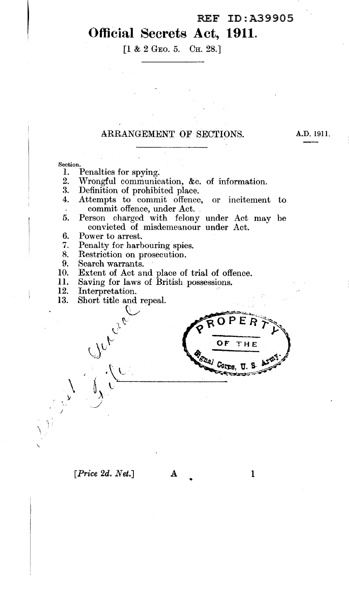## **Official Secrets Act, 1911.**

[1 & 2 GEO. 5. CH. 28.]

#### ARRANGEMENT OF SECTIONS.

Section.

- 1. Penalties for spying.<br>2. Wrongful communic
- 2. Wrongful communication, &c. of information.<br>3. Definition of prohibited place.
- 3. Definition of prohibited place.<br>4. Attempts to commit offence
- 4. Attempts to commit offence, or incitement to commit offence, under Act.
- 5. Person charged with felony under Act may be convicted of misdemeanour under Act. •
- 6. Power to arrest.
- $\frac{7}{8}$ . Penalty for harbouring spies.
- Restriction on prosecution.

~-  $^{\circ}$ 

- 9. Search warrants.
- 10. Extent of Act and place of trial of offence.
- 11. Saving for laws of British possessions.
- 12. Interpretation.

 $\sqrt{\rho_{\rm L}}$ 

 $\mathcal{N}^{\vee}$ . *\_\_)* 

13. Short title and repeal.  $\dot{\mathcal{C}}$ 

THE  $\sqrt{\frac{G_{SDA}}{G}}$ 

### *[Price 2d. Net.]* A 1

' ' I

j

•

A.D. 1911.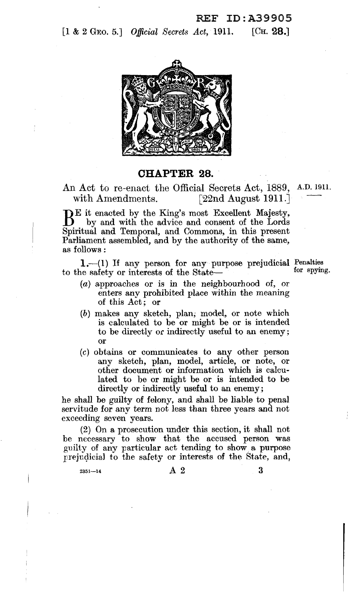[1 & 2 GEO. 5.] *Official Secrets Act*, 1911. [CH. 28.]



**CHAPTER** 28.

An Act to re-enact the Official Secrets Act, 1889, A.D. 1911. with Amendments. [22nd August 1911.]

BE it enacted by the King's most Excellent Majesty, by and with the advice and consent of the Lords Spiritual and Temporal, and Commons, in this present Parliament assembled, and by the authority of the same, as follows:

 $1.$  (1) If any person for any purpose prejudicial Penalties for spying. to the safety or interests of the State-

- (a) approaches or is in the neighbourhood of, or enters any prohibited place within the meaning of this Act ; or
- (b) makes any sketch, plan; model, or note which is calculated to be or might be or is intended to be directly *ot* indirectly useful to an enemy; or
- (c) obtains or communicates to any other person any sketch, plan, model, article, or note, or other document or information which is calculated to he or might be or is intended to be directly or indirectly useful to an enemy;

he shall be guilty of felony, and shall be liable to penal servitude for any term not less than three years and not exceeding seven years.

(2) On a prosecution under this section, it shall not be necessary to show that the accused person was guilty of any particular act tending to show. a purpose prejudicial to the safety or interests of the State, and,

 $2^{351-14}$  A 2 3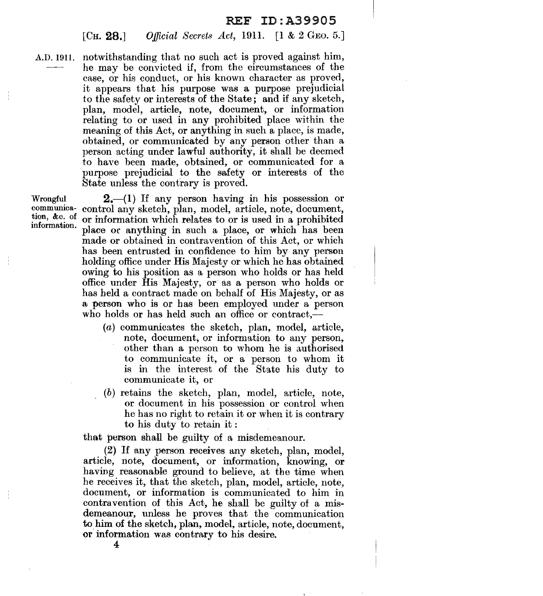#### [CH. 28.] *Official Secrets Act,* 1911. [1 & 2 GEO. 5.]

A.D. 1911. notwithstanding that no such act is proved against him, he may be convicted if, from the circumstances of the case, or his conduct, or his known character as proved, it appears that his purpose was a purpose prejudicial to the safety 0r interests of the State; and if any sketch, plan, model, article, note, document, or information relating to or used in any prohibited place within the meaning of this Act, or anything in such a place, is made, obtained, or communicated by any person other than a person acting under lawful authority, it shall be deemed to have been made, obtained, or communicated for a purpose prejudicial to the safety or interests of the State unless the contrary is proved.

Wrongful communication, &c. of information.

2.-(1) If any person having in his possession or control any sketch, plan, model, article, note, document, or information which relates to or is used in a prohibited place or anything in such a place, or which has been made or obtained in contravention of this Act, or which has been entrusted in confidence to him by any person holding office under His Majesty or which he has obtained owing to his position as a person who holds or has held office under His MaJesty, or as a person who holds or has held a contract made on behalf of His Majesty, or as a person who is or has been employed under a person who holds or has held such an office or contract,-

- $(a)$  communicates the sketch, plan, model, article, note, document, or information to any person, other than a person to whom he is authorised to communicate it, or a person to whom it is in the interest of the State his duty to communicate it, or
- (b) retains the sketch, plan, model, article, note, or document in his possession or control when he has no right to retain it or when it is contrary to his duty to retain it :

that person shall be guilty of a misdemeanour.

(2) If any person receives any sketch, plan, model, article, note, document, or information, knowing, or having reasonable ground to believe, at the time when he receives it, that the sketch, plan, model, article, note, document, or information is communicated to him in contravention of this Act, he shall be guilty of a misdemeanour, unless he proves that the communication to him of the sketch, plan, model, article, note, document, or information was contrary to his desire.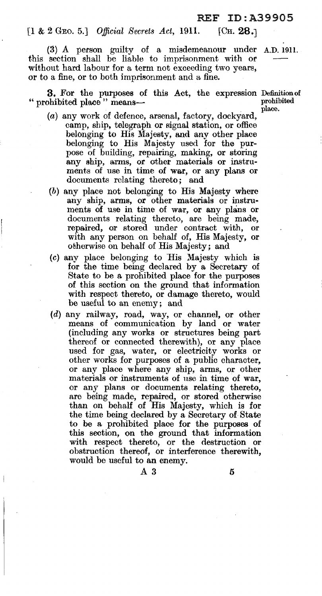#### [I & 2 GEO. 5.] *Official Secrets Act,* 1911. [CH. 28.)

(3) A person guilty of a misdemeanour under A.D. 1911. this section shall be liable to imprisonment with or without hard labour for a term not exceeding two years, or to a fine, or to both imprisonment and a fine.

**3.** For the purposes of this Act, the expression Definition of prohibited place  $\theta$  means " prohibited place" means-

place.

- (a) any work of defence, arsenal, factory, dockyard, camp, ship, telegraph or signal station, or office belonging to His Majesty, and any other place belonging to His Majesty used for the purpose of building, repairing, making, or storing any ship, arms, or other materials or instruments of use in time of war, or any plans or documents relating thereto; and
- (b) any place not belonging to His Majesty where any ship, arms, or other materials or instmments of use in time of war, or any plans or documents relating thereto, are being made, repaired, or stored under contract with, or with any person on behalf of, His Majesty, or otherwise on behalf of His Majesty; and
- $(c)$  any place belonging to His Majesty which is for the time being declared by a Secretary of State to be a prohibited place for the purposes of this section on the ground that information with respect thereto, or damage thereto, would be useful to an enemy; and
- (d) any railway, road, way, or channel, or other means of communication by land or water (including any works or structures being part thereof or connected therewith), or any place used for gas, water, or electricity works or other works for purposes of a public character, or any place where any ship, arms, or other materials or instruments of use in time of war, or any plans or documents relating thereto, are being made, repaired, or stored otherwise than on behalf of His Majesty, which is for the time being declared by a Secretary of State to be a prohibited place for the purposes of this section, on the ground that information with respect thereto, or the destruction or obstruction thereof, or interlerence therewith, would be useful to an enemy.

 $\overline{A}3$  5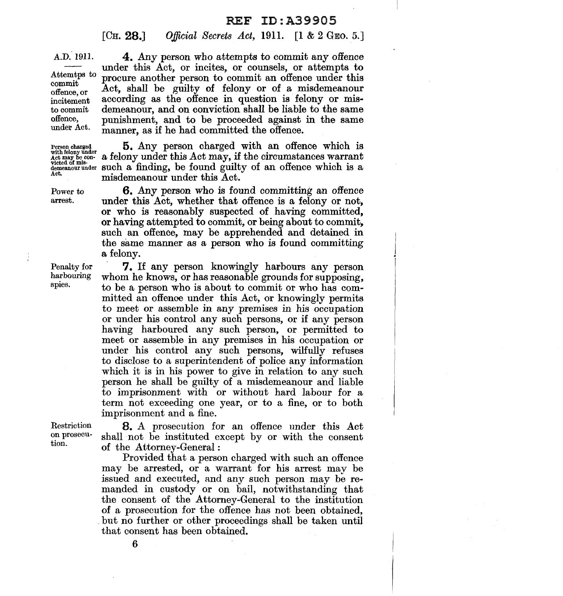[Cн. 28.] *Official Secrets Act,* 1911. [1 & 2 GEO. 5.]

A.D. 1911.

Attemtps to commit offence, or incitement to commit offence, under Act.

Power to arrest.

Penalty for harbouring spies.

4. Any person who attempts to commit any offence under this Act, or incites, or counsels, or attempts to procure another person to commit an offence under this Act, shall be guilty of felony or of a misdemeanour according as the offence in question is felony or mis· demeanour, and on conviction shall be liable to the same punishment, and to be proceeded against in the same manner, as if he had committed the offence.

Person charged  $\sum_{\substack{\text{with the order of } \text{supp } \text{ and } \text{supp } \text{ and } \text{supp } \text{ and } \text{supp } \text{ and } \text{supp } \text{ and } \text{supp } \text{ and } \text{supp } \text{ and } \text{supp } \text{ and } \text{supp } \text{ and } \text{supp } \text{ and } \text{supp } \text{ and } \text{supp } \text{ and } \text{supp } \text{ and } \text{supp } \text{ and } \text{supp } \text{ and } \text{supp } \text{ and } \text{supp } \text{ and } \text{sup$ a felony under this Act may, if the circumstances warrant victed of mis-<br>demeanour under such a finding, be found guilty of an offence which is a misdemeanour under this Act.

> 6. Any person who is found committing an offence under this Act, whether that offence is a felony or not, or who is reasonably suspected of having committed, or having attempted to commit, or being about to commit, such an offence, may be apprehended and detained in the same manner as a person who is found committing a felony.

> 7. li any person knowingly harbours any person whom he knows, or has reasonable grounds for supposing, to be a person who is about to commit or who has com· mitted an offenoe under this Act, or knowingly permits to meet or assemble in any premises in his occupation or under his control any such persons, or if any person having harboured any such person, or permitted to meet or assemble in any premises in his occupation or under his control any such persons, wilfully refuses to disclose to a superintendent of police any information which it is in his power to give in relation to any such person he shall be guilty of a misdemeanour and liable to imprisonment with or without hard labour for a term not exceeding one year, or to a fine, or to both imprisonment and a fine.

Restriction on prosecution.

8. A prosecution for an offence under this Act shall not be instituted except by or with the consent of the Attorney-General :

Provided that a person charged with such an offence may be arrested, or a warrant for his arrest may be issued and executed, and any such person may be re· manded in custody or on bail, notwithstanding that the consent of the Attorney-General to the institution of a prosecution for the offence has not been obtained, but no further or other proceedings shall be taken until that consent has been obtained.

6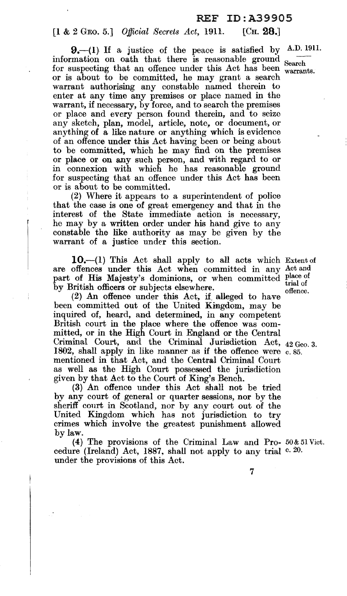#### [1 & 2 GEO. 5.] *Official Secrets Act,* 1911. [CH. 28.]

 $9 - (1)$  If a justice of the peace is satisfied by A.D. 1911. information on oath that there is reasonable ground  $S<sub>search</sub>$ for suspecting that an offence under this Act has been warrants.<br>or is about to be committed, he may grant a search warrant authorising any constable named therein to enter at any time any premises or place named in the warrant, if necessary, by force, and to search the premises or place and every person found therein, and to seize any sketch, plan, model, article, note, or document, or anything of a like nature or anything which is evidence of an offence under this Act having been or being about to be committed, which he may find on the premises or place or on any such person, and with regard to or in connexion with which he has reasonable ground for suspecting that an offence under this Act has been or is about to be committed.

(2) Where it appears to a superintendent of police that the case is one of great emergency and that in the interest of the State immediate action is necessary, he may by a written order under his hand give to any constable the like authority as may be given by the warrant of a justice under this section.

**10.-(1)** This Act shall apply to all acts which Extent of are offences under this Act when committed in any Act and part of His Majesty's dominions, or when committed place of trial of by British officers or subjects elsewhere.

by British officiers or subjects elsewhere.<br>(2) An offence under this Act, if. alleged to have  $\frac{1}{2}$ been committed out of the United Kingdom, may be inquired of, heard, and determined, in any competent British court in the place where the offence was committed, or in the High Court in England or the Central Criminal Court, and the Criminal Jurisdiction Act,  $_{42}$  Geo. 3. 1802, shall apply in like manner as if the offence were  $c$ , 85. mentioned in that Act, and the Central Criminal Court as well as the High Court possessed the jurisdiction given by that Act to the Court of King's Bench.

(3) An offence under this Act shall not be tried by any court of general or quarter sessions, nor by the sheriff court in Scotland, nor by any court out of the United Kingdom which has not jurisdiction to try crimes which involve the greatest punishment allowed by law.

(4) The provisions of the Criminal Law and Pro- 50& 51 Viet. cedure (Ireland) Act, 1887, shall not apply to any trial c. 20. under the provisions of this Act.

7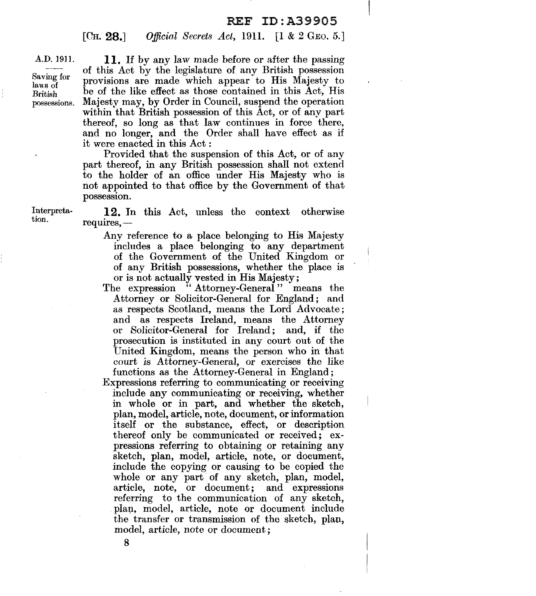$[CH. 28.]$ *Official Secrets Act,* 1911. **[1** & 2 GEO. 5.]

A.D. 1911.

Saving for laws of British possessions.

**11.** If by any law made before or after the passing of this Act by the legislature of any British possession provisions are made which appear to His Majesty to be of the like effect as those contained in this Act, His Majesty may, by Order in Council, suspend the operation within that British possession of this Act, or of any part thereof, so long as that law continues in force there, and no longer, and the Order shall have effect as if it were enacted in this Act :

Provided that the suspension of this Act, or of any part thereof, in any British possession shall not extend to the holder of an office under His Majesty who is not appointed to that office by the Government of that possession.

Interpretation.

**12.** In this Act, unless the context otherwise requires, -

- Any reference to a place belonging to His Majesty includes a place belonging to any department of the Government of the United Kingdom or of any British possessions, whether the place is or is not actually vested in His Majesty;
- The expression "Attorney-General" means the Attorney or Solicitor-General for England; and as respects Scotland, means the Lord Advocate; and as respects Ireland, means the Attorney or Solicitor-General for Ireland; and, if the prosecution is instituted in any court out of the United Kingdom, means the person who in that court *is* Attorney-General, or exercises the like functions as the Attorney-General in England;
- Expressions referring to communicating or receiving include any communicating or receiving, whether in whole or in part, and whether the sketch, plan, model, article, note, document, or information itself or the substance, effect, or description thereof only be communicated or received; expressions referring to obtaining or retaining any sketch, plan, model, article, note, or document, include the copying or causing to be copied the whole or any part of any sketch, plan, model, article, note, or document; and expressions referring to the communication of any sketch, plan, model, article, note or document include the transfer or transmission of the sketch, plan, model, article, note or document;

8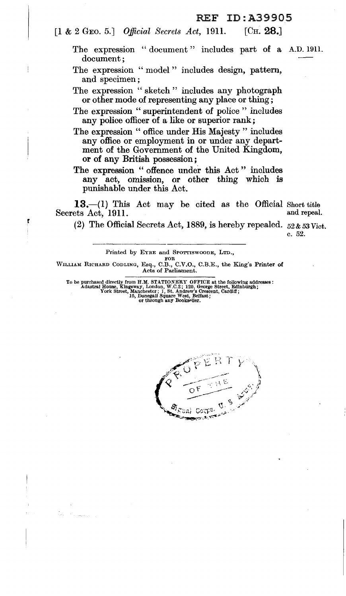[1 & 2 GEO. 5.] *Official Secrets Act*, 1911. [CH. 28.]

- The expression "document" includes part of a A.D. 1911. document;
- The expression "model" includes design, pattern, and specimen;
- The expression "sketch" includes any photograph or other mode of representing any place or thing;
- The expression " superintendent of police " includes any police officer of a like or superior rank;
- The expression "office under His Majesty" includes any office or employment in or under any department of the Government of the United Kingdom, or of any British possession ;
- The expression " offence under this Act" includes any act, omission, or other thing which is punishable under this Act.

13.-(1) This Act may be cited as the Official Short title ets Act. 1911. Secrets Act, 1911.

(2) The Official Secrets Act, 1889, is hereby repealed.  $52 \& 53 \,\text{Vict.}$ 

c. 52.

Printed by EYRE and SPOTTISWOODE, LTD.,

r

FOR<br>WILLIAM RICHARD CODLING, Esq., C.B., C.V.O., C.B.E., the King's Printer of Acts of Parliament.

To be purchased directly from H.M. STATIONERY OFFICE at the following addresses :<br>Adastral House, Kingsway, London, W.C.2; 120, George Street, Edinburgh;<br>York Street, Manchester; 1, St. Andrew's Crescent, Cardiff;

15, Donegal] Square West, Belfast; or through any Bookseller.